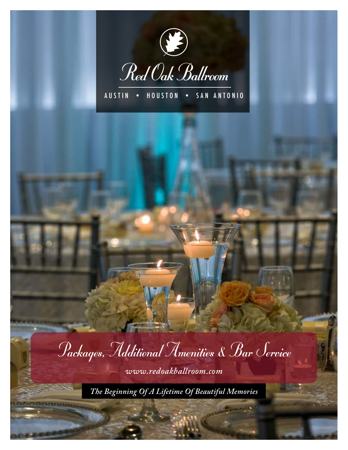

AUSTIN • HOUSTON • SAN ANTONIO

Packages, Additional Amenities & Bar Service

*www.redoakballroom.com*

*The Beginning Of A Lifetime Of Beautiful Memories*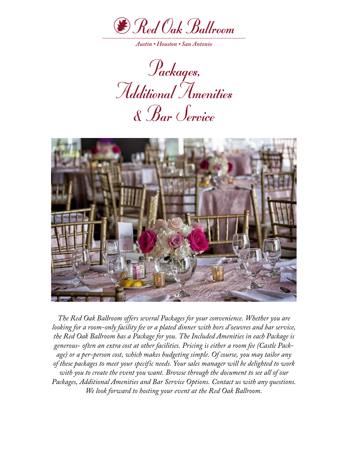

Packages, Additional Amenities & Bar Service



*The Red Oak Ballroom offers several Packages for your convenience. Whether you are looking for a room-only facility fee or a plated dinner with hors d'oeuvres and bar service, the Red Oak Ballroom has a Package for you. The Included Amenities in each Package is generous- often an extra cost at other facilities. Pricing is either a room fee (Castle Package) or a per-person cost, which makes budgeting simple. Of course, you may tailor any of these packages to meet your specific needs. Your sales manager will be delighted to work with you to create the event you want. Browse through the document to see all of our Packages, Additional Amenities and Bar Service Options. Contact us with any questions. We look forward to hosting your event at the Red Oak Ballroom.*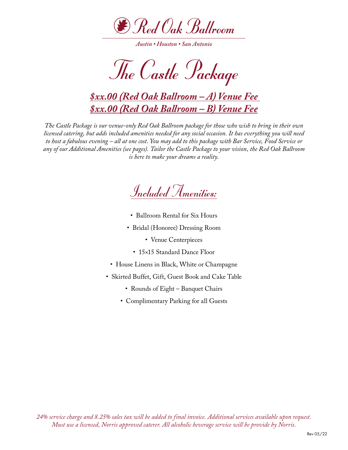

The Castle Package

# *\$xx.00 (Red Oak Ballroom – A) Venue Fee \$xx.00 (Red Oak Ballroom – B) Venue Fee*

*The Castle Package is our venue-only Red Oak Ballroom package for those who wish to bring in their own licensed catering, but adds included amenities needed for any social occasion. It has everything you will need to host a fabulous evening – all at one cost. You may add to this package with Bar Service, Food Service or any of our Additional Amenities (see pages). Tailor the Castle Package to your vision, the Red Oak Ballroom is here to make your dreams a reality.*

Included Amenities:

- Ballroom Rental for Six Hours
- Bridal (Honoree) Dressing Room
	- Venue Centerpieces
	- 15×15 Standard Dance Floor
- House Linens in Black, White or Champagne
- Skirted Buffet, Gift, Guest Book and Cake Table
	- Rounds of Eight Banquet Chairs
	- Complimentary Parking for all Guests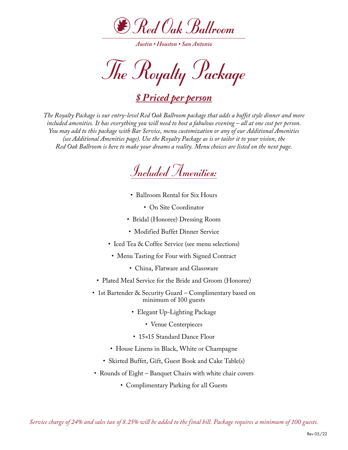

*Austin • Houston • San Antonio*

The Royalty Package

*\$ Priced per person*

*The Royalty Package is our entry-level Red Oak Ballroom package that adds a buffet style dinner and more included amenities. It has everything you will need to host a fabulous evening – all at one cost per person. You may add to this package with Bar Service, menu customization or any of our Additional Amenities (see Additional Amenities page). Use the Royalty Package as is or tailor it to your vision, the Red Oak Ballroom is here to make your dreams a reality. Menu choices are listed on the next page.*



- Ballroom Rental for Six Hours
	- On Site Coordinator
- Bridal (Honoree) Dressing Room
- Modified Buffet Dinner Service
- Iced Tea & Coffee Service (see menu selections)
- Menu Tasting for Four with Signed Contract
	- China, Flatware and Glassware
- Plated Meal Service for the Bride and Groom (Honoree)
- 1st Bartender & Security Guard Complimentary based on minimum of 100 guests
	- Elegant Up-Lighting Package
		- Venue Centerpieces
	- 15×15 Standard Dance Floor
	- House Linens in Black, White or Champagne
	- Skirted Buffet, Gift, Guest Book and Cake Table(s)
- Rounds of Eight Banquet Chairs with white chair covers
	- Complimentary Parking for all Guests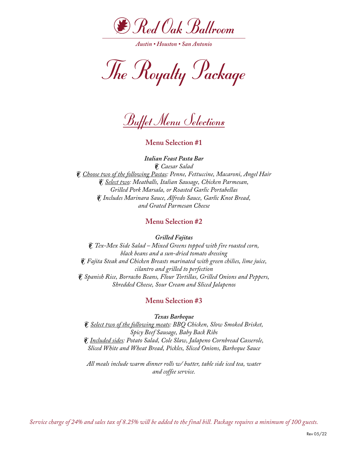

The Royalty Package

*Buffet Menu Selections* 

**Menu Selection #1**

*Italian Feast Pasta Bar* • *Caesar Salad* • *Choose two of the following Pastas: Penne, Fettuccine, Macaroni, Angel Hair* • *Select two: Meatballs, Italian Sausage, Chicken Parmesan, Grilled Pork Marsala, or Roasted Garlic Portabellas* • *Includes Marinara Sauce, Alfredo Sauce, Garlic Knot Bread, and Grated Parmesan Cheese*

**Menu Selection #2**

*Grilled Fajitas*

• *Tex-Mex Side Salad – Mixed Greens topped with fire roasted corn, black beans and a sun-dried tomato dressing* • *Fajita Steak and Chicken Breasts marinated with green chilies, lime juice, cilantro and grilled to perfection* • *Spanish Rice, Borracho Beans, Flour Tortillas, Grilled Onions and Peppers, Shredded Cheese, Sour Cream and Sliced Jalapenos*

### **Menu Selection #3**

*Texas Barbeque*

• *Select two of the following meats: BBQ Chicken, Slow Smoked Brisket, Spicy Beef Sausage, Baby Back Ribs* • *Included sides: Potato Salad, Cole Slaw, Jalapeno Cornbread Casserole, Sliced White and Wheat Bread, Pickles, Sliced Onions, Barbeque Sauce*

*All meals include warm dinner rolls w/ butter, table side iced tea, water and coffee service.*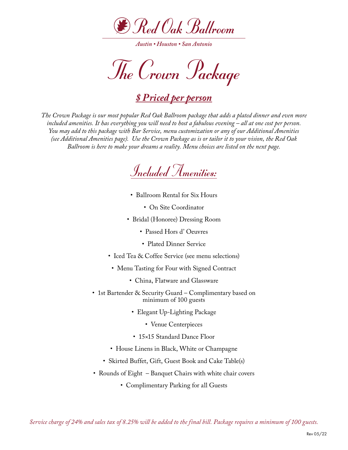

*Austin • Houston • San Antonio*

The Crown Package

# *\$ Priced per person*

*The Crown Package is our most popular Red Oak Ballroom package that adds a plated dinner and even more included amenities. It has everything you will need to host a fabulous evening – all at one cost per person. You may add to this package with Bar Service, menu customization or any of our Additional Amenities (see Additional Amenities page). Use the Crown Package as is or tailor it to your vision, the Red Oak Ballroom is here to make your dreams a reality. Menu choices are listed on the next page.*



- Ballroom Rental for Six Hours
	- On Site Coordinator
- Bridal (Honoree) Dressing Room
	- Passed Hors d' Oeuvres
	- Plated Dinner Service
- Iced Tea & Coffee Service (see menu selections)
- Menu Tasting for Four with Signed Contract
	- China, Flatware and Glassware
- 1st Bartender & Security Guard Complimentary based on minimum of 100 guests
	- Elegant Up-Lighting Package
		- Venue Centerpieces
	- 15×15 Standard Dance Floor
	- House Linens in Black, White or Champagne
	- Skirted Buffet, Gift, Guest Book and Cake Table(s)
- Rounds of Eight Banquet Chairs with white chair covers
	- Complimentary Parking for all Guests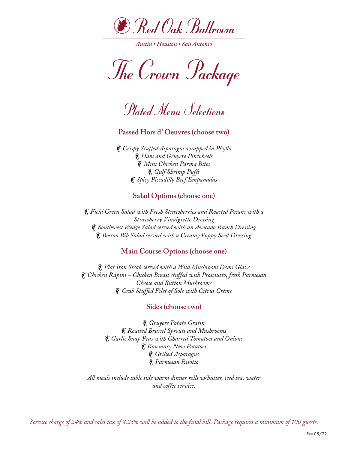

The Crown Package

Plated Menu Selections

**Passed Hors d' Oeuvres (choose two)**

• *Crispy Stuffed Asparagus wrapped in Phyllo* • *Ham and Gruyere Pinwheels* • *Mini Chicken Parma Bites* • *Gulf Shrimp Puffs* • *Spicy Piccadilly Beef Empanadas*

## **Salad Options (choose one)**

• *Field Green Salad with Fresh Strawberries and Roasted Pecans with a Strawberry Vinaigrette Dressing* • *Southwest Wedge Salad served with an Avocado Ranch Dressing* • *Boston Bib Salad served with a Creamy Poppy Seed Dressing*

## **Main Course Options (choose one)**

• *Flat Iron Steak served with a Wild Mushroom Demi Glaze* • *Chicken Rapini – Chicken Breast stuffed with Prosciutto, fresh Parmesan Cheese and Button Mushrooms* • *Crab Stuffed Filet of Sole with Citrus Crème*

#### **Sides (choose two)**

• *Gruyere Potato Gratin* • *Roasted Brussel Sprouts and Mushrooms* • *Garlic Snap Peas with Charred Tomatoes and Onions* • *Rosemary New Potatoes* • *Grilled Asparagus* • *Parmesan Risotto*

*All meals include table side warm dinner rolls w/butter, iced tea, water and coffee service.*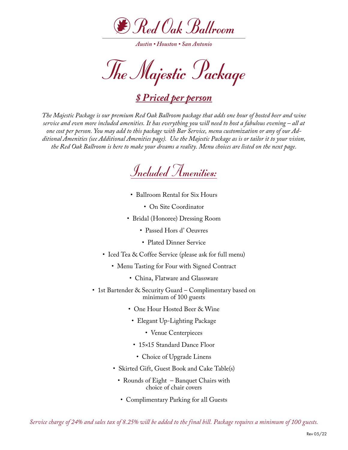

*Austin • Houston • San Antonio*

The Majestic Package

## *\$ Priced per person*

*The Majestic Package is our premium Red Oak Ballroom package that adds one hour of hosted beer and wine service and even more included amenities. It has everything you will need to host a fabulous evening – all at one cost per person. You may add to this package with Bar Service, menu customization or any of our Additional Amenities (see Additional Amenities page). Use the Majestic Package as is or tailor it to your vision, the Red Oak Ballroom is here to make your dreams a reality. Menu choices are listed on the next page.*



- Ballroom Rental for Six Hours
	- On Site Coordinator
- Bridal (Honoree) Dressing Room
	- Passed Hors d' Oeuvres
	- Plated Dinner Service
- Iced Tea & Coffee Service (please ask for full menu)
	- Menu Tasting for Four with Signed Contract
		- China, Flatware and Glassware
- 1st Bartender & Security Guard Complimentary based on minimum of 100 guests
	- One Hour Hosted Beer & Wine
	- Elegant Up-Lighting Package
		- Venue Centerpieces
	- 15×15 Standard Dance Floor
	- Choice of Upgrade Linens
	- Skirted Gift, Guest Book and Cake Table(s)
		- Rounds of Eight Banquet Chairs with choice of chair covers
		- Complimentary Parking for all Guests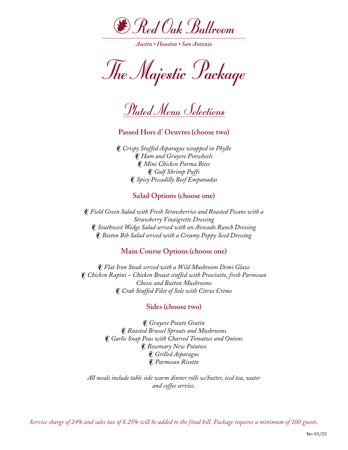

The Majestic Package

Plated Menu Selections

**Passed Hors d' Oeuvres (choose two)**

• *Crispy Stuffed Asparagus wrapped in Phyllo* • *Ham and Gruyere Pinwheels* • *Mini Chicken Parma Bites* • *Gulf Shrimp Puffs* • *Spicy Piccadilly Beef Empanadas*

## **Salad Options (choose one)**

• *Field Green Salad with Fresh Strawberries and Roasted Pecans with a Strawberry Vinaigrette Dressing* • *Southwest Wedge Salad served with an Avocado Ranch Dressing* • *Boston Bib Salad served with a Creamy Poppy Seed Dressing*

## **Main Course Options (choose one)**

• *Flat Iron Steak served with a Wild Mushroom Demi Glaze* • *Chicken Rapini – Chicken Breast stuffed with Prosciutto, fresh Parmesan Cheese and Button Mushrooms* • *Crab Stuffed Filet of Sole with Citrus Crème*

#### **Sides (choose two)**

• *Gruyere Potato Gratin* • *Roasted Brussel Sprouts and Mushrooms* • *Garlic Snap Peas with Charred Tomatoes and Onions* • *Rosemary New Potatoes* • *Grilled Asparagus* • *Parmesan Risotto*

*All meals include table side warm dinner rolls w/butter, iced tea, water and coffee service.*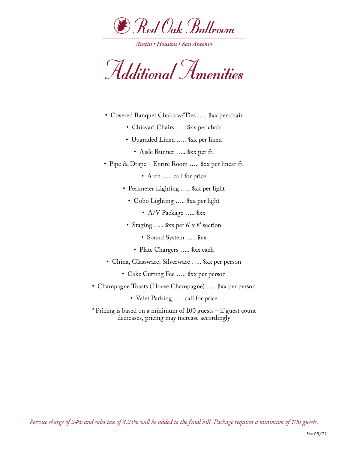

Additional Amenities

- Covered Banquet Chairs w/Ties ….. \$xx per chair
	- Chiavari Chairs ….. \$xx per chair
	- Upgraded Linen ….. \$xx per linen
		- Aisle Runner ….. \$xx per ft.
- Pipe & Drape Entire Room ….. \$xx per linear ft.
	- Arch ….. call for price
	- Perimeter Lighting ….. \$xx per light
		- Gobo Lighting ….. \$xx per light
			- A/V Package ..... \$xx
	- Staging ….. \$xx per 6' x 8' section
		- Sound System ….. \$xx
		- Plate Chargers ….. \$xx each
- China, Glassware, Silverware ….. \$xx per person
	- Cake Cutting Fee ….. \$xx per person
- Champagne Toasts (House Champagne) ….. \$xx per person
	- Valet Parking ….. call for price
- \* Pricing is based on a minimum of 100 guests if guest count decreases, pricing may increase accordingly